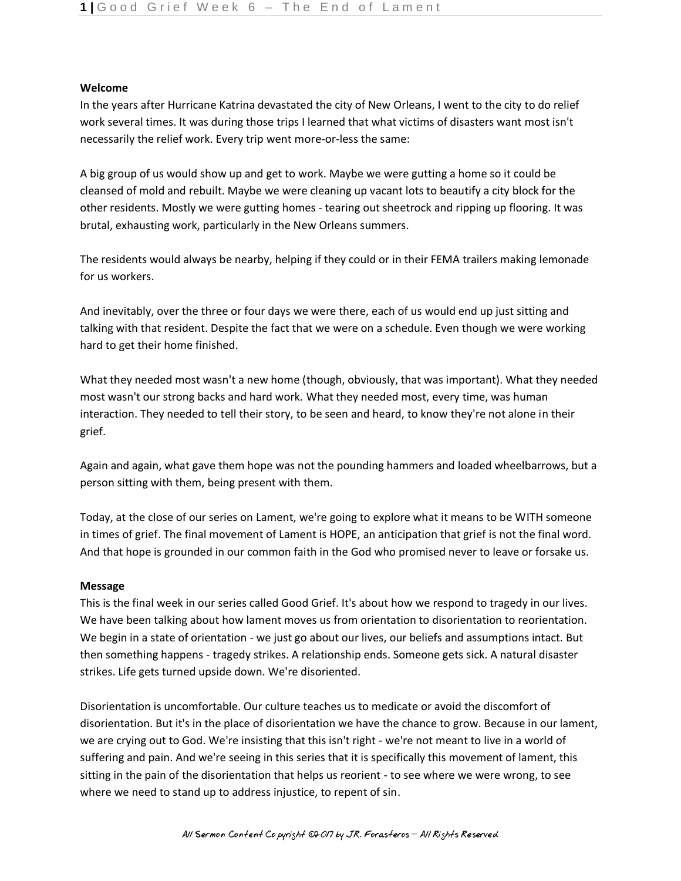# **Welcome**

In the years after Hurricane Katrina devastated the city of New Orleans, I went to the city to do relief work several times. It was during those trips I learned that what victims of disasters want most isn't necessarily the relief work. Every trip went more-or-less the same:

A big group of us would show up and get to work. Maybe we were gutting a home so it could be cleansed of mold and rebuilt. Maybe we were cleaning up vacant lots to beautify a city block for the other residents. Mostly we were gutting homes - tearing out sheetrock and ripping up flooring. It was brutal, exhausting work, particularly in the New Orleans summers.

The residents would always be nearby, helping if they could or in their FEMA trailers making lemonade for us workers.

And inevitably, over the three or four days we were there, each of us would end up just sitting and talking with that resident. Despite the fact that we were on a schedule. Even though we were working hard to get their home finished.

What they needed most wasn't a new home (though, obviously, that was important). What they needed most wasn't our strong backs and hard work. What they needed most, every time, was human interaction. They needed to tell their story, to be seen and heard, to know they're not alone in their grief.

Again and again, what gave them hope was not the pounding hammers and loaded wheelbarrows, but a person sitting with them, being present with them.

Today, at the close of our series on Lament, we're going to explore what it means to be WITH someone in times of grief. The final movement of Lament is HOPE, an anticipation that grief is not the final word. And that hope is grounded in our common faith in the God who promised never to leave or forsake us.

# **Message**

This is the final week in our series called Good Grief. It's about how we respond to tragedy in our lives. We have been talking about how lament moves us from orientation to disorientation to reorientation. We begin in a state of orientation - we just go about our lives, our beliefs and assumptions intact. But then something happens - tragedy strikes. A relationship ends. Someone gets sick. A natural disaster strikes. Life gets turned upside down. We're disoriented.

Disorientation is uncomfortable. Our culture teaches us to medicate or avoid the discomfort of disorientation. But it's in the place of disorientation we have the chance to grow. Because in our lament, we are crying out to God. We're insisting that this isn't right - we're not meant to live in a world of suffering and pain. And we're seeing in this series that it is specifically this movement of lament, this sitting in the pain of the disorientation that helps us reorient - to see where we were wrong, to see where we need to stand up to address injustice, to repent of sin.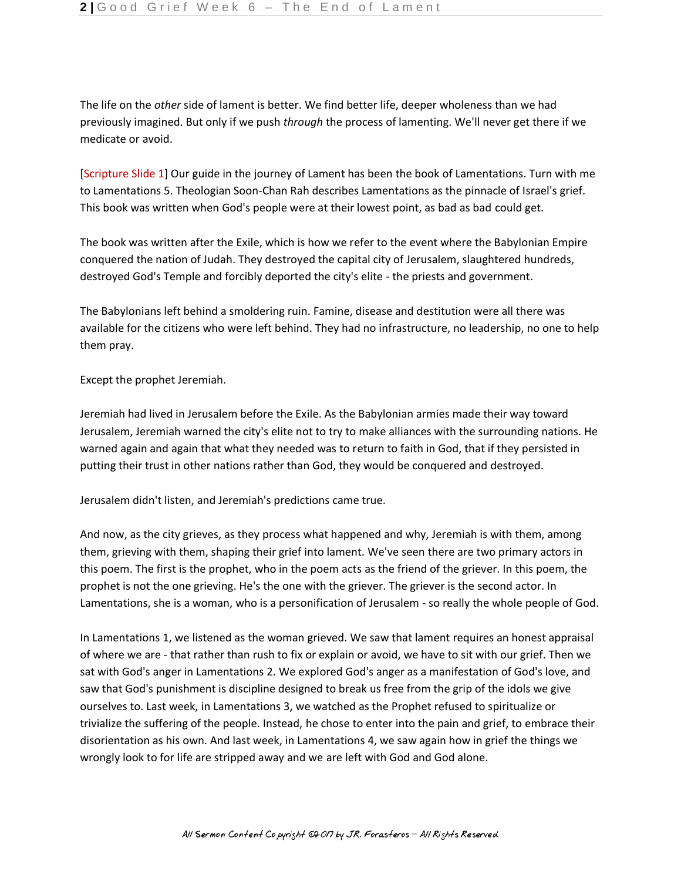The life on the *other* side of lament is better. We find better life, deeper wholeness than we had previously imagined. But only if we push *through* the process of lamenting. We'll never get there if we medicate or avoid.

[Scripture Slide 1] Our guide in the journey of Lament has been the book of Lamentations. Turn with me to Lamentations 5. Theologian Soon-Chan Rah describes Lamentations as the pinnacle of Israel's grief. This book was written when God's people were at their lowest point, as bad as bad could get.

The book was written after the Exile, which is how we refer to the event where the Babylonian Empire conquered the nation of Judah. They destroyed the capital city of Jerusalem, slaughtered hundreds, destroyed God's Temple and forcibly deported the city's elite - the priests and government.

The Babylonians left behind a smoldering ruin. Famine, disease and destitution were all there was available for the citizens who were left behind. They had no infrastructure, no leadership, no one to help them pray.

Except the prophet Jeremiah.

Jeremiah had lived in Jerusalem before the Exile. As the Babylonian armies made their way toward Jerusalem, Jeremiah warned the city's elite not to try to make alliances with the surrounding nations. He warned again and again that what they needed was to return to faith in God, that if they persisted in putting their trust in other nations rather than God, they would be conquered and destroyed.

Jerusalem didn't listen, and Jeremiah's predictions came true.

And now, as the city grieves, as they process what happened and why, Jeremiah is with them, among them, grieving with them, shaping their grief into lament. We've seen there are two primary actors in this poem. The first is the prophet, who in the poem acts as the friend of the griever. In this poem, the prophet is not the one grieving. He's the one with the griever. The griever is the second actor. In Lamentations, she is a woman, who is a personification of Jerusalem - so really the whole people of God.

In Lamentations 1, we listened as the woman grieved. We saw that lament requires an honest appraisal of where we are - that rather than rush to fix or explain or avoid, we have to sit with our grief. Then we sat with God's anger in Lamentations 2. We explored God's anger as a manifestation of God's love, and saw that God's punishment is discipline designed to break us free from the grip of the idols we give ourselves to. Last week, in Lamentations 3, we watched as the Prophet refused to spiritualize or trivialize the suffering of the people. Instead, he chose to enter into the pain and grief, to embrace their disorientation as his own. And last week, in Lamentations 4, we saw again how in grief the things we wrongly look to for life are stripped away and we are left with God and God alone.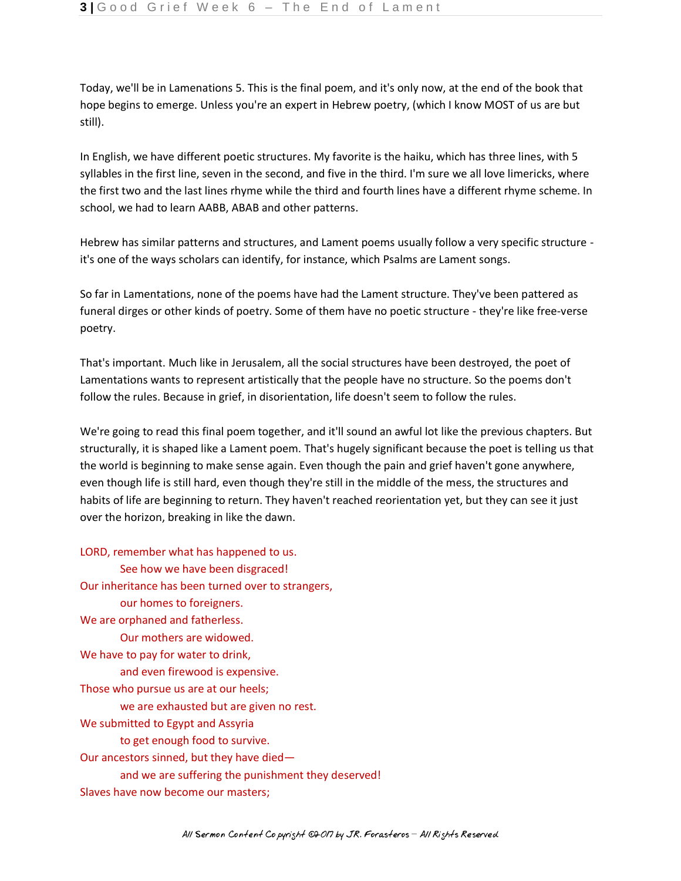Today, we'll be in Lamenations 5. This is the final poem, and it's only now, at the end of the book that hope begins to emerge. Unless you're an expert in Hebrew poetry, (which I know MOST of us are but still).

In English, we have different poetic structures. My favorite is the haiku, which has three lines, with 5 syllables in the first line, seven in the second, and five in the third. I'm sure we all love limericks, where the first two and the last lines rhyme while the third and fourth lines have a different rhyme scheme. In school, we had to learn AABB, ABAB and other patterns.

Hebrew has similar patterns and structures, and Lament poems usually follow a very specific structure it's one of the ways scholars can identify, for instance, which Psalms are Lament songs.

So far in Lamentations, none of the poems have had the Lament structure. They've been pattered as funeral dirges or other kinds of poetry. Some of them have no poetic structure - they're like free-verse poetry.

That's important. Much like in Jerusalem, all the social structures have been destroyed, the poet of Lamentations wants to represent artistically that the people have no structure. So the poems don't follow the rules. Because in grief, in disorientation, life doesn't seem to follow the rules.

We're going to read this final poem together, and it'll sound an awful lot like the previous chapters. But structurally, it is shaped like a Lament poem. That's hugely significant because the poet is telling us that the world is beginning to make sense again. Even though the pain and grief haven't gone anywhere, even though life is still hard, even though they're still in the middle of the mess, the structures and habits of life are beginning to return. They haven't reached reorientation yet, but they can see it just over the horizon, breaking in like the dawn.

LORD, remember what has happened to us. See how we have been disgraced! Our inheritance has been turned over to strangers, our homes to foreigners. We are orphaned and fatherless. Our mothers are widowed. We have to pay for water to drink, and even firewood is expensive. Those who pursue us are at our heels; we are exhausted but are given no rest. We submitted to Egypt and Assyria to get enough food to survive. Our ancestors sinned, but they have died and we are suffering the punishment they deserved! Slaves have now become our masters;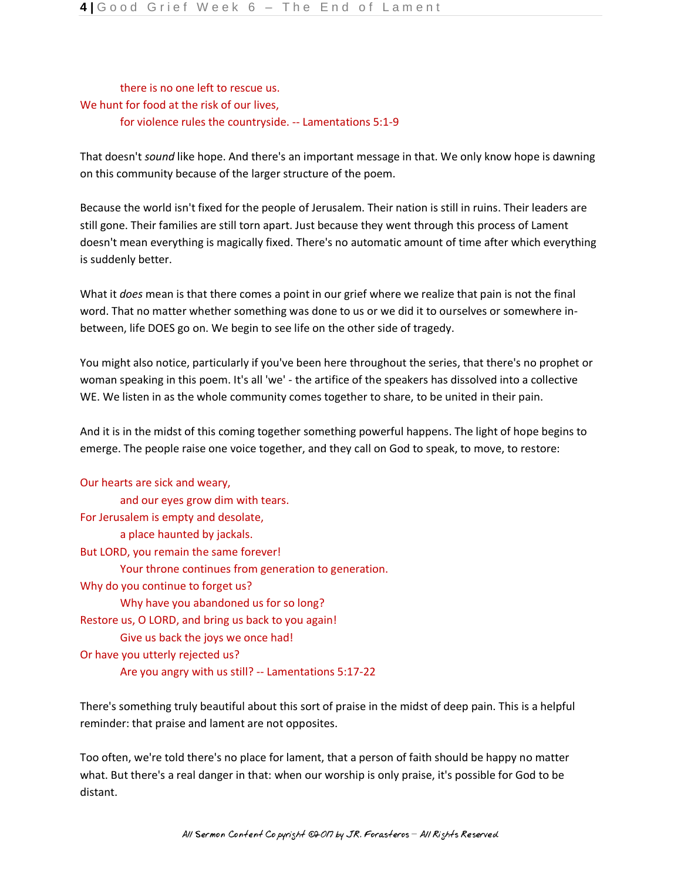there is no one left to rescue us. We hunt for food at the risk of our lives, for violence rules the countryside. -- Lamentations 5:1-9

That doesn't *sound* like hope. And there's an important message in that. We only know hope is dawning on this community because of the larger structure of the poem.

Because the world isn't fixed for the people of Jerusalem. Their nation is still in ruins. Their leaders are still gone. Their families are still torn apart. Just because they went through this process of Lament doesn't mean everything is magically fixed. There's no automatic amount of time after which everything is suddenly better.

What it *does* mean is that there comes a point in our grief where we realize that pain is not the final word. That no matter whether something was done to us or we did it to ourselves or somewhere inbetween, life DOES go on. We begin to see life on the other side of tragedy.

You might also notice, particularly if you've been here throughout the series, that there's no prophet or woman speaking in this poem. It's all 'we' - the artifice of the speakers has dissolved into a collective WE. We listen in as the whole community comes together to share, to be united in their pain.

And it is in the midst of this coming together something powerful happens. The light of hope begins to emerge. The people raise one voice together, and they call on God to speak, to move, to restore:

| Our hearts are sick and weary,                       |
|------------------------------------------------------|
| and our eyes grow dim with tears.                    |
| For Jerusalem is empty and desolate,                 |
| a place haunted by jackals.                          |
| But LORD, you remain the same forever!               |
| Your throne continues from generation to generation. |
| Why do you continue to forget us?                    |
| Why have you abandoned us for so long?               |
| Restore us, O LORD, and bring us back to you again!  |
| Give us back the joys we once had!                   |
| Or have you utterly rejected us?                     |
| Are you angry with us still? -- Lamentations 5:17-22 |

There's something truly beautiful about this sort of praise in the midst of deep pain. This is a helpful reminder: that praise and lament are not opposites.

Too often, we're told there's no place for lament, that a person of faith should be happy no matter what. But there's a real danger in that: when our worship is only praise, it's possible for God to be distant.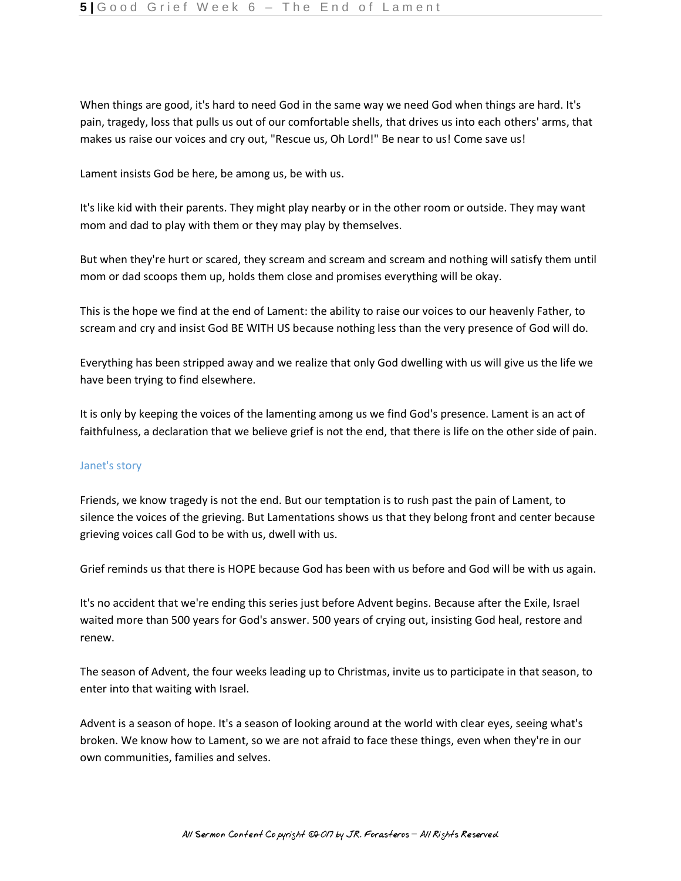When things are good, it's hard to need God in the same way we need God when things are hard. It's pain, tragedy, loss that pulls us out of our comfortable shells, that drives us into each others' arms, that makes us raise our voices and cry out, "Rescue us, Oh Lord!" Be near to us! Come save us!

Lament insists God be here, be among us, be with us.

It's like kid with their parents. They might play nearby or in the other room or outside. They may want mom and dad to play with them or they may play by themselves.

But when they're hurt or scared, they scream and scream and scream and nothing will satisfy them until mom or dad scoops them up, holds them close and promises everything will be okay.

This is the hope we find at the end of Lament: the ability to raise our voices to our heavenly Father, to scream and cry and insist God BE WITH US because nothing less than the very presence of God will do.

Everything has been stripped away and we realize that only God dwelling with us will give us the life we have been trying to find elsewhere.

It is only by keeping the voices of the lamenting among us we find God's presence. Lament is an act of faithfulness, a declaration that we believe grief is not the end, that there is life on the other side of pain.

# Janet's story

Friends, we know tragedy is not the end. But our temptation is to rush past the pain of Lament, to silence the voices of the grieving. But Lamentations shows us that they belong front and center because grieving voices call God to be with us, dwell with us.

Grief reminds us that there is HOPE because God has been with us before and God will be with us again.

It's no accident that we're ending this series just before Advent begins. Because after the Exile, Israel waited more than 500 years for God's answer. 500 years of crying out, insisting God heal, restore and renew.

The season of Advent, the four weeks leading up to Christmas, invite us to participate in that season, to enter into that waiting with Israel.

Advent is a season of hope. It's a season of looking around at the world with clear eyes, seeing what's broken. We know how to Lament, so we are not afraid to face these things, even when they're in our own communities, families and selves.